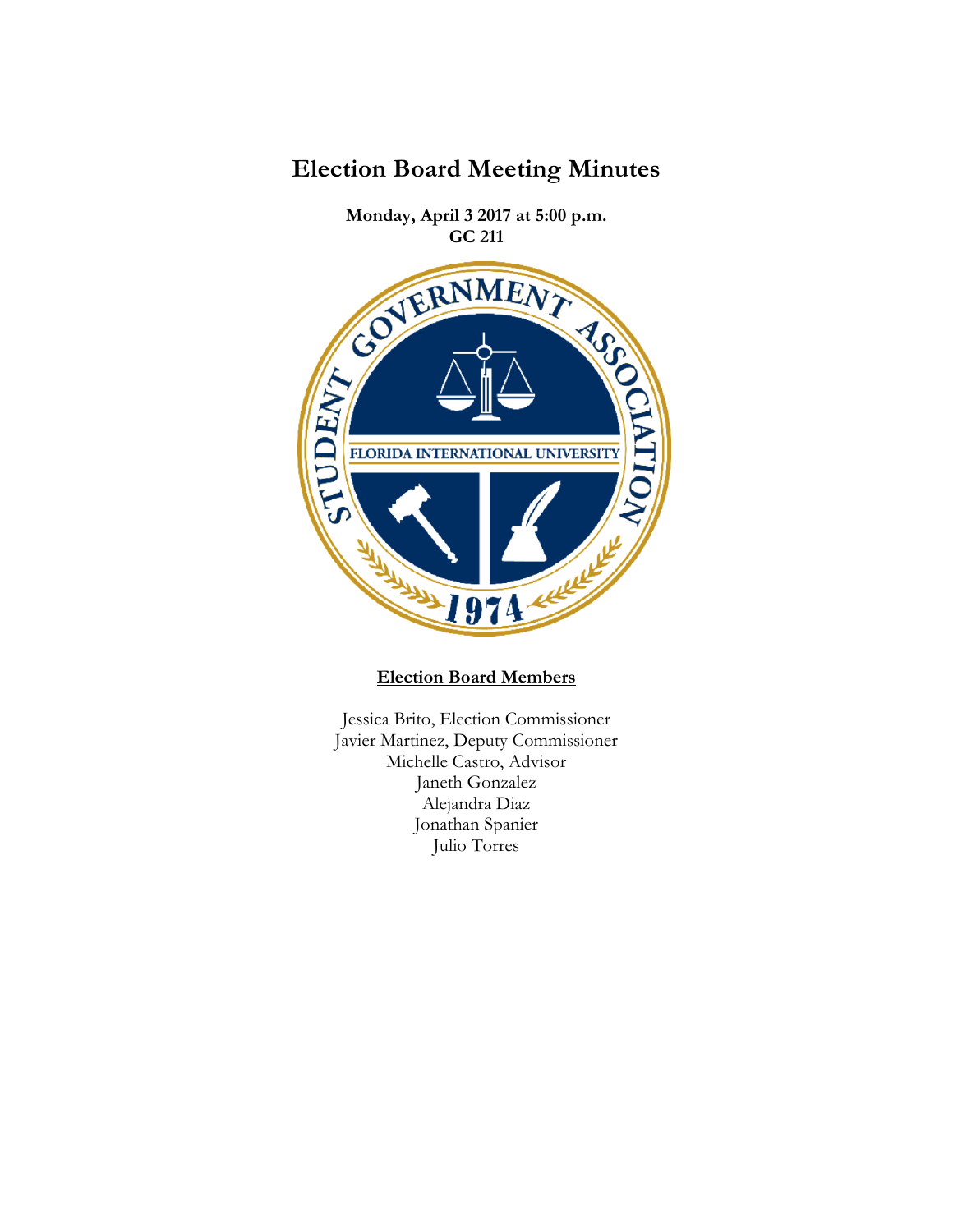

**Election Board Meeting Minutes**

## **Election Board Members**

Jessica Brito, Election Commissioner Javier Martinez, Deputy Commissioner Michelle Castro, Advisor Janeth Gonzalez Alejandra Diaz Jonathan Spanier Julio Torres